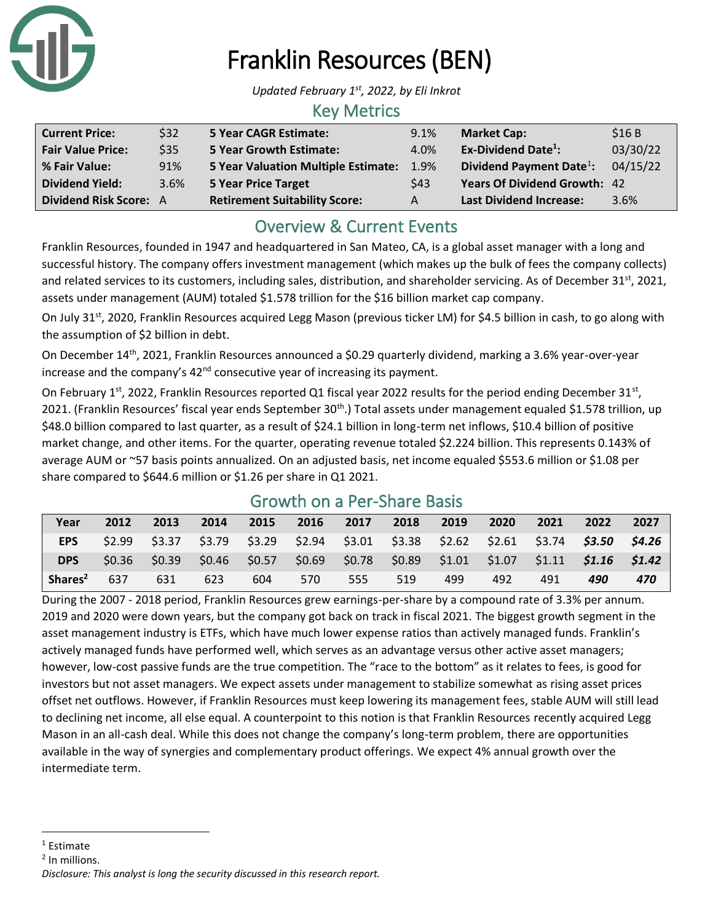

# Franklin Resources (BEN)

*Updated February 1st , 2022, by Eli Inkrot*

### Key Metrics

| <b>Current Price:</b>         | \$32 | 5 Year CAGR Estimate:                | 9.1%    | <b>Market Cap:</b>                   | \$16B    |
|-------------------------------|------|--------------------------------------|---------|--------------------------------------|----------|
| <b>Fair Value Price:</b>      | \$35 | <b>5 Year Growth Estimate:</b>       | 4.0%    | Ex-Dividend Date <sup>1</sup> :      | 03/30/22 |
| % Fair Value:                 | 91%  | 5 Year Valuation Multiple Estimate:  | $1.9\%$ | Dividend Payment Date <sup>1</sup> : | 04/15/22 |
| <b>Dividend Yield:</b>        | 3.6% | <b>5 Year Price Target</b>           | \$43    | Years Of Dividend Growth: 42         |          |
| <b>Dividend Risk Score: A</b> |      | <b>Retirement Suitability Score:</b> | A       | <b>Last Dividend Increase:</b>       | 3.6%     |

## Overview & Current Events

Franklin Resources, founded in 1947 and headquartered in San Mateo, CA, is a global asset manager with a long and successful history. The company offers investment management (which makes up the bulk of fees the company collects) and related services to its customers, including sales, distribution, and shareholder servicing. As of December 31<sup>st</sup>, 2021, assets under management (AUM) totaled \$1.578 trillion for the \$16 billion market cap company.

On July 31<sup>st</sup>, 2020, Franklin Resources acquired Legg Mason (previous ticker LM) for \$4.5 billion in cash, to go along with the assumption of \$2 billion in debt.

On December 14th, 2021, Franklin Resources announced a \$0.29 quarterly dividend, marking a 3.6% year-over-year increase and the company's 42<sup>nd</sup> consecutive year of increasing its payment.

On February 1<sup>st</sup>, 2022, Franklin Resources reported Q1 fiscal year 2022 results for the period ending December 31<sup>st</sup>, 2021. (Franklin Resources' fiscal year ends September 30<sup>th</sup>.) Total assets under management equaled \$1.578 trillion, up \$48.0 billion compared to last quarter, as a result of \$24.1 billion in long-term net inflows, \$10.4 billion of positive market change, and other items. For the quarter, operating revenue totaled \$2.224 billion. This represents 0.143% of average AUM or ~57 basis points annualized. On an adjusted basis, net income equaled \$553.6 million or \$1.08 per share compared to \$644.6 million or \$1.26 per share in Q1 2021.

| Year                | 2012 | 2013 | 2014                                                                                            | 2015 | 2016 2017 |     | 2018 | 2019 | 2020 | 2021 | 2022 | 2027 |
|---------------------|------|------|-------------------------------------------------------------------------------------------------|------|-----------|-----|------|------|------|------|------|------|
| EPS                 |      |      | $$2.99$ $$3.37$ $$3.79$ $$3.29$ $$2.94$ $$3.01$ $$3.38$ $$2.62$ $$2.61$ $$3.74$ $$3.50$ $$4.26$ |      |           |     |      |      |      |      |      |      |
| <b>DPS</b>          |      |      | $$0.36$ $$0.39$ $$0.46$ $$0.57$ $$0.69$ $$0.78$ $$0.89$ $$1.01$ $$1.07$ $$1.11$ $$1.16$ $$1.42$ |      |           |     |      |      |      |      |      |      |
| Shares <sup>2</sup> | 637  | 631  | 623                                                                                             | 604  | 570       | 555 | 519  | 499  | 492  | 491  | 490  | 470  |

## Growth on a Per-Share Basis

During the 2007 - 2018 period, Franklin Resources grew earnings-per-share by a compound rate of 3.3% per annum. 2019 and 2020 were down years, but the company got back on track in fiscal 2021. The biggest growth segment in the asset management industry is ETFs, which have much lower expense ratios than actively managed funds. Franklin's actively managed funds have performed well, which serves as an advantage versus other active asset managers; however, low-cost passive funds are the true competition. The "race to the bottom" as it relates to fees, is good for investors but not asset managers. We expect assets under management to stabilize somewhat as rising asset prices offset net outflows. However, if Franklin Resources must keep lowering its management fees, stable AUM will still lead to declining net income, all else equal. A counterpoint to this notion is that Franklin Resources recently acquired Legg Mason in an all-cash deal. While this does not change the company's long-term problem, there are opportunities available in the way of synergies and complementary product offerings. We expect 4% annual growth over the intermediate term.

<sup>2</sup> In millions.

<sup>1</sup> Estimate

*Disclosure: This analyst is long the security discussed in this research report.*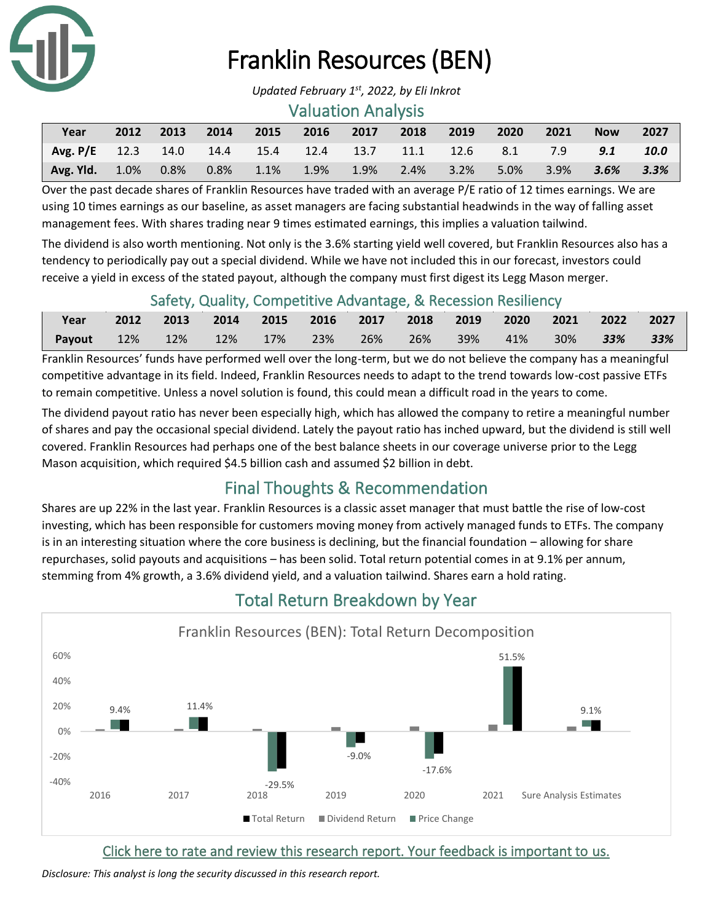

## Franklin Resources (BEN)

#### Valuation Analysis

| Year                                                                  |  |  |  | 2012 2013 2014 2015 2016 2017 2018 2019 2020 2021 |  | <b>Now</b> | 2027 |
|-----------------------------------------------------------------------|--|--|--|---------------------------------------------------|--|------------|------|
| Avg. P/E 12.3 14.0 14.4 15.4 12.4 13.7 11.1 12.6 8.1 7.9 9.1 10.0     |  |  |  |                                                   |  |            |      |
| Avg. Yld. 1.0% 0.8% 0.8% 1.1% 1.9% 1.9% 2.4% 3.2% 5.0% 3.9% 3.6% 3.3% |  |  |  |                                                   |  |            |      |

Over the past decade shares of Franklin Resources have traded with an average P/E ratio of 12 times earnings. We are using 10 times earnings as our baseline, as asset managers are facing substantial headwinds in the way of falling asset management fees. With shares trading near 9 times estimated earnings, this implies a valuation tailwind.

The dividend is also worth mentioning. Not only is the 3.6% starting yield well covered, but Franklin Resources also has a tendency to periodically pay out a special dividend. While we have not included this in our forecast, investors could receive a yield in excess of the stated payout, although the company must first digest its Legg Mason merger.

#### Safety, Quality, Competitive Advantage, & Recession Resiliency

| Year                                       | 2012 2013 2014 2015 2016 2017 2018 2019 2020 2021 2022 2027 |  |  |  |                |     |
|--------------------------------------------|-------------------------------------------------------------|--|--|--|----------------|-----|
| Payout 12% 12% 12% 17% 23% 26% 26% 39% 41% |                                                             |  |  |  | 30% <b>33%</b> | 33% |

Franklin Resources' funds have performed well over the long-term, but we do not believe the company has a meaningful competitive advantage in its field. Indeed, Franklin Resources needs to adapt to the trend towards low-cost passive ETFs to remain competitive. Unless a novel solution is found, this could mean a difficult road in the years to come.

The dividend payout ratio has never been especially high, which has allowed the company to retire a meaningful number of shares and pay the occasional special dividend. Lately the payout ratio has inched upward, but the dividend is still well covered. Franklin Resources had perhaps one of the best balance sheets in our coverage universe prior to the Legg Mason acquisition, which required \$4.5 billion cash and assumed \$2 billion in debt.

## Final Thoughts & Recommendation

Shares are up 22% in the last year. Franklin Resources is a classic asset manager that must battle the rise of low-cost investing, which has been responsible for customers moving money from actively managed funds to ETFs. The company is in an interesting situation where the core business is declining, but the financial foundation – allowing for share repurchases, solid payouts and acquisitions – has been solid. Total return potential comes in at 9.1% per annum, stemming from 4% growth, a 3.6% dividend yield, and a valuation tailwind. Shares earn a hold rating.



## Total Return Breakdown by Year

[Click here to rate and review this research report. Your feedback is important to us.](https://suredividend.typeform.com/to/S0SIkB)

*Disclosure: This analyst is long the security discussed in this research report.* 

*Updated February 1st , 2022, by Eli Inkrot*